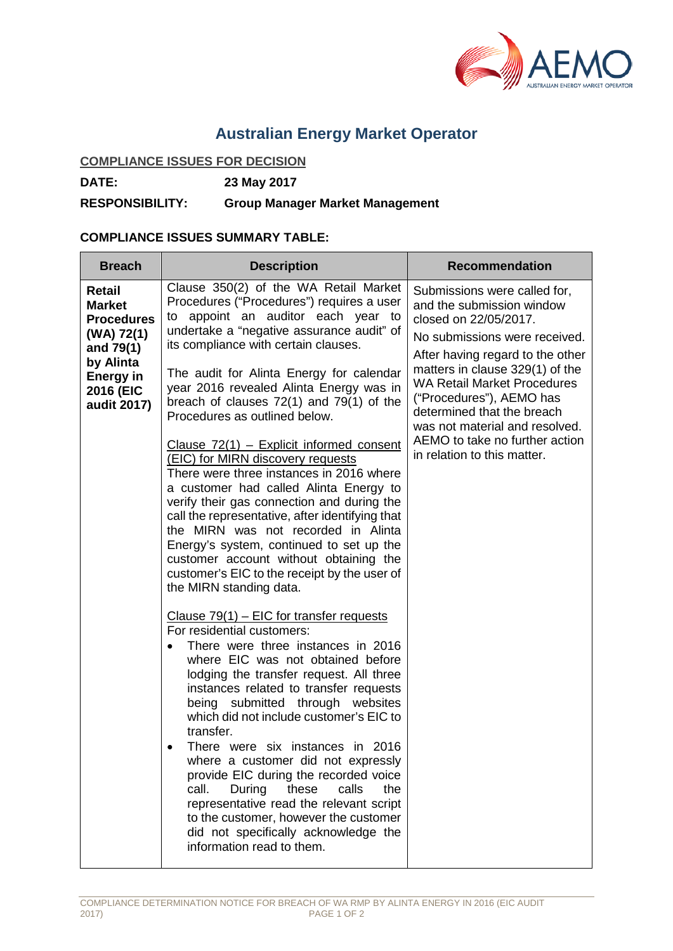

# **Australian Energy Market Operator**

## **COMPLIANCE ISSUES FOR DECISION**

**DATE: 23 May 2017**

### **RESPONSIBILITY: Group Manager Market Management**

#### **COMPLIANCE ISSUES SUMMARY TABLE:**

| <b>Breach</b>                                                                                                                        | <b>Description</b>                                                                                                                                                                                                                                                                                                                                                                                                                                                                                                                                                                                                                                                                                                                                                                                                                                                                                                                                                                                                                                                                                                                                                                                                                                                                                                                                                                                                                                                                                                                    | <b>Recommendation</b>                                                                                                                                                                                                                                                                                                                                                                         |
|--------------------------------------------------------------------------------------------------------------------------------------|---------------------------------------------------------------------------------------------------------------------------------------------------------------------------------------------------------------------------------------------------------------------------------------------------------------------------------------------------------------------------------------------------------------------------------------------------------------------------------------------------------------------------------------------------------------------------------------------------------------------------------------------------------------------------------------------------------------------------------------------------------------------------------------------------------------------------------------------------------------------------------------------------------------------------------------------------------------------------------------------------------------------------------------------------------------------------------------------------------------------------------------------------------------------------------------------------------------------------------------------------------------------------------------------------------------------------------------------------------------------------------------------------------------------------------------------------------------------------------------------------------------------------------------|-----------------------------------------------------------------------------------------------------------------------------------------------------------------------------------------------------------------------------------------------------------------------------------------------------------------------------------------------------------------------------------------------|
| Retail<br><b>Market</b><br><b>Procedures</b><br>(WA) 72(1)<br>and 79(1)<br>by Alinta<br><b>Energy in</b><br>2016 (EIC<br>audit 2017) | Clause 350(2) of the WA Retail Market<br>Procedures ("Procedures") requires a user<br>to appoint an auditor each year to<br>undertake a "negative assurance audit" of<br>its compliance with certain clauses.<br>The audit for Alinta Energy for calendar<br>year 2016 revealed Alinta Energy was in<br>breach of clauses $72(1)$ and $79(1)$ of the<br>Procedures as outlined below.<br>Clause 72(1) - Explicit informed consent<br>(EIC) for MIRN discovery requests<br>There were three instances in 2016 where<br>a customer had called Alinta Energy to<br>verify their gas connection and during the<br>call the representative, after identifying that<br>the MIRN was not recorded in Alinta<br>Energy's system, continued to set up the<br>customer account without obtaining the<br>customer's EIC to the receipt by the user of<br>the MIRN standing data.<br>Clause $79(1)$ – EIC for transfer requests<br>For residential customers:<br>There were three instances in 2016<br>where EIC was not obtained before<br>lodging the transfer request. All three<br>instances related to transfer requests<br>being submitted through websites<br>which did not include customer's EIC to<br>transfer.<br>There were six instances in 2016<br>where a customer did not expressly<br>provide EIC during the recorded voice<br>call.<br>During<br>these<br>calls<br>the<br>representative read the relevant script<br>to the customer, however the customer<br>did not specifically acknowledge the<br>information read to them. | Submissions were called for,<br>and the submission window<br>closed on 22/05/2017.<br>No submissions were received.<br>After having regard to the other<br>matters in clause 329(1) of the<br><b>WA Retail Market Procedures</b><br>("Procedures"), AEMO has<br>determined that the breach<br>was not material and resolved.<br>AEMO to take no further action<br>in relation to this matter. |